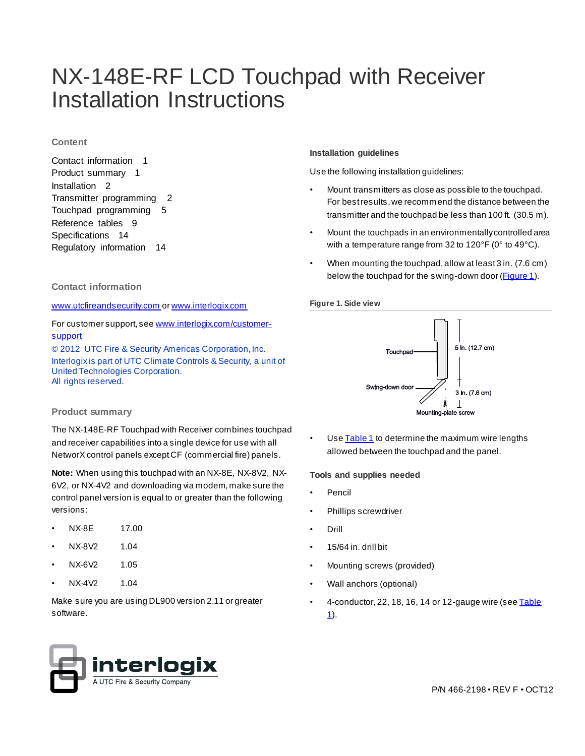# NX-148E-RF LCD Touchpad with Receiver Installation Instructions

# **Content**

Contact information 1 Product summary 1 Installation 2 Transmitter programming 2 Touchpad programming 5 Reference tables 9 Specifications 14 Regulatory information 14

# **Contact information**

[www.utcfireandsecurity.com](file:///D:/Documents%20and%20Settings/501890067/Local%20Settings/501890067/Desktop/New%20Templates/www.utcfireandsecurity.com) o[r www.interlogix.com](file:///D:/Documents%20and%20Settings/501890067/Local%20Settings/501890067/Desktop/New%20Templates/www.interlogix.com)

# For customer support, se[e www.interlogix.com/customer](file:///D:/Documents%20and%20Settings/501890067/Local%20Settings/501890067/Desktop/New%20Templates/www.interlogix.com/customer-support)[support](file:///D:/Documents%20and%20Settings/501890067/Local%20Settings/501890067/Desktop/New%20Templates/www.interlogix.com/customer-support)

© 2012 UTC Fire & Security Americas Corporation, Inc. Interlogix is part of UTC Climate Controls & Security, a unit of United Technologies Corporation. All rights reserved.

# **Product summary**

The NX-148E-RF Touchpad with Receiver combines touchpad and receiver capabilities into a single device for use with all NetworX control panels except CF (commercial fire) panels.

**Note:** When using this touchpad with an NX-8E, NX-8V2, NX-6V2, or NX-4V2 and downloading via modem, make sure the control panel version is equal to or greater than the following versions:

- NX-8E 17.00
- NX-8V2 1.04
- NX-6V2 1.05
- NX-4V2 1.04

Make sure you are using DL900 version 2.11 or greater software.

# **Installation guidelines**

Use the following installation guidelines:

- Mount transmitters as close as possible to the touchpad. For best results, we recommend the distance between the transmitter and the touchpad be less than 100 ft. (30.5 m).
- Mount the touchpads in an environmentally controlled area with a temperature range from 32 to 120°F (0° to 49°C).
- When mounting the touchpad, allow at least 3 in. (7.6 cm) below the touchpad for the swing-down door [\(Figure 1](file:///D:/Documents%20and%20Settings/501890067/Local%20Settings/Temporary%20Internet%20Files/Downloads/466-2198-E.doc%23Figure1%23Figure1)).

# **Figure 1. Side view**



Use **Table 1** to determine the maximum wire lengths allowed between the touchpad and the panel.

### **Tools and supplies needed**

- **Pencil**
- Phillips screwdriver
- Drill
- 15/64 in. drill bit
- Mounting screws (provided)
- Wall anchors (optional)
- $\cdot$  4-conductor, 22, 18, 16, 14 or 12-gauge wire (see Table [1\)](file:///D:/Documents%20and%20Settings/501890067/Local%20Settings/Temporary%20Internet%20Files/Downloads/466-2198-E.doc%23Table1%23Table1).

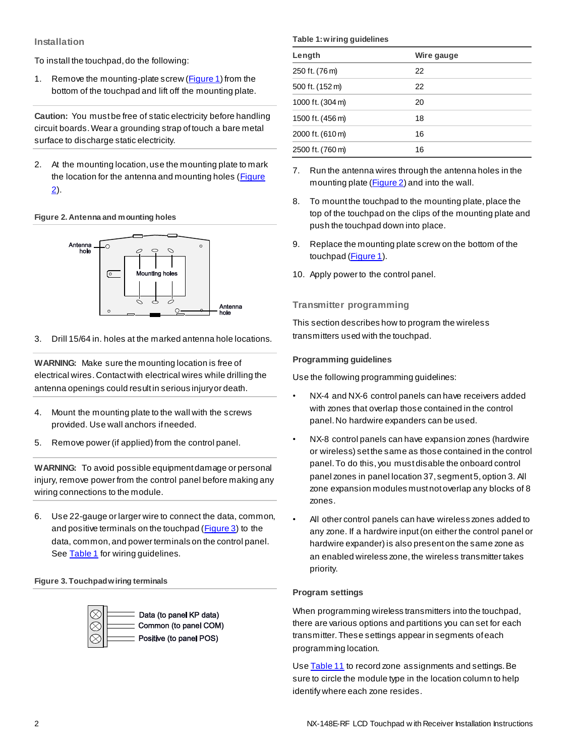# **Installation**

To install the touchpad, do the following:

1. Remove the mounting-plate screw [\(Figure 1\)](file:///D:/Documents%20and%20Settings/501890067/Local%20Settings/Temporary%20Internet%20Files/Downloads/466-2198-E.doc%23Figure1%23Figure1) from the bottom of the touchpad and lift off the mounting plate.

**Caution:** You must be free of static electricity before handling circuit boards. Wear a grounding strap of touch a bare metal surface to discharge static electricity.

2. At the mounting location, use the mounting plate to mark the location for the antenna and mounting holes [\(Figure](file:///D:/Documents%20and%20Settings/501890067/Local%20Settings/Temporary%20Internet%20Files/Downloads/466-2198-E.doc%23Figure2%23Figure2)  [2\)](file:///D:/Documents%20and%20Settings/501890067/Local%20Settings/Temporary%20Internet%20Files/Downloads/466-2198-E.doc%23Figure2%23Figure2).

# **Figure 2. Antenna and mounting holes**



3. Drill 15/64 in. holes at the marked antenna hole locations.

**WARNING:** Make sure the mounting location is free of electrical wires. Contact with electrical wires while drilling the antenna openings could result in serious injury or death.

- 4. Mount the mounting plate to the wall with the screws provided. Use wall anchors if needed.
- 5. Remove power (if applied) from the control panel.

**WARNING:** To avoid possible equipment damage or personal injury, remove power from the control panel before making any wiring connections to the module.

6. Use 22-gauge or larger wire to connect the data, common, and positive terminals on the touchpad [\(Figure 3\)](file:///D:/Documents%20and%20Settings/501890067/Local%20Settings/Temporary%20Internet%20Files/Downloads/466-2198-E.doc%23Figure3%23Figure3) to the data, common, and power terminals on the control panel. See **Table 1** for wiring guidelines.

### **Figure 3. Touchpad wiring terminals**



#### **Table 1: wiring guidelines**

| Length           | Wire gauge |
|------------------|------------|
| 250 ft. (76 m)   | 22         |
| 500 ft. (152 m)  | 22         |
| 1000 ft. (304 m) | 20         |
| 1500 ft. (456 m) | 18         |
| 2000 ft. (610 m) | 16         |
| 2500 ft. (760 m) | 16         |

- 7. Run the antenna wires through the antenna holes in the mounting plate [\(Figure 2\)](file:///D:/Documents%20and%20Settings/501890067/Local%20Settings/Temporary%20Internet%20Files/Downloads/466-2198-E.doc%23Figure2%23Figure2) and into the wall.
- 8. To mount the touchpad to the mounting plate, place the top of the touchpad on the clips of the mounting plate and push the touchpad down into place.
- 9. Replace the mounting plate screw on the bottom of the touchpad [\(Figure 1\)](file:///D:/Documents%20and%20Settings/501890067/Local%20Settings/Temporary%20Internet%20Files/Downloads/466-2198-E.doc%23Figure1%23Figure1).
- 10. Apply power to the control panel.

# **Transmitter programming**

This section describes how to program the wireless transmitters used with the touchpad.

# **Programming guidelines**

Use the following programming guidelines:

- NX-4 and NX-6 control panels can have receivers added with zones that overlap those contained in the control panel. No hardwire expanders can be used.
- NX-8 control panels can have expansion zones (hardwire or wireless) set the same as those contained in the control panel. To do this, you must disable the onboard control panel zones in panel location 37, segment 5, option 3. All zone expansion modules must not overlap any blocks of 8 zones.
- All other control panels can have wireless zones added to any zone. If a hardwire input (on either the control panel or hardwire expander) is also present on the same zone as an enabled wireless zone, the wireless transmitter takes priority.

# **Program settings**

When programming wireless transmitters into the touchpad, there are various options and partitions you can set for each transmitter. These settings appear in segments of each programming location.

Us[e Table 11](file:///D:/Documents%20and%20Settings/501890067/Local%20Settings/Temporary%20Internet%20Files/Downloads/466-2198-E.doc%23Table11%23Table11) to record zone assignments and settings. Be sure to circle the module type in the location column to help identify where each zone resides.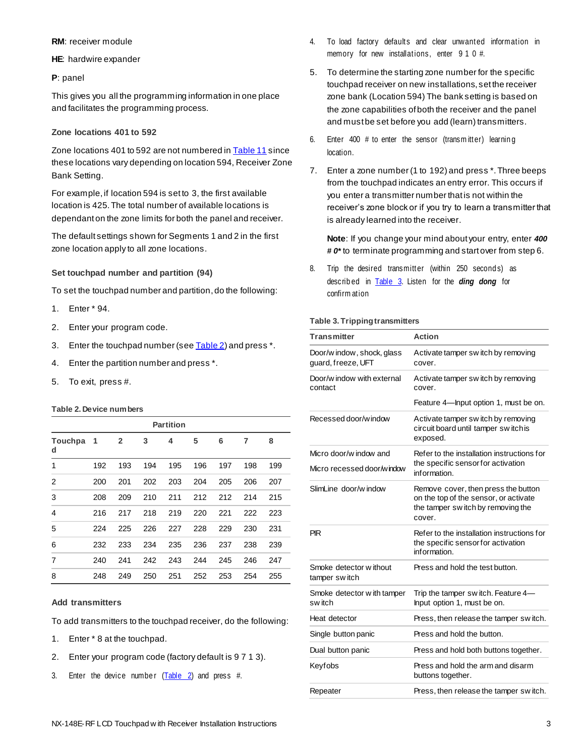### **RM**: receiver module

**HE**: hardwire expander

#### **P**: panel

This gives you all the programming information in one place and facilitates the programming process.

# **Zone locations 401 to 592**

Zone locations 401 to 592 are not numbered in **Table 11** since these locations vary depending on location 594, Receiver Zone Bank Setting.

For example, if location 594 is set to 3, the first available location is 425. The total number of available locations is dependant on the zone limits for both the panel and receiver.

The default settings shown for Segments 1 and 2 in the first zone location apply to all zone locations.

# **Set touchpad number and partition (94)**

To set the touchpad number and partition, do the following:

- 1. Enter \* 94.
- 2. Enter your program code.
- 3. Enter the touchpad number (se[e Table 2\)](file:///D:/Documents%20and%20Settings/501890067/Local%20Settings/Temporary%20Internet%20Files/Downloads/466-2198-E.doc%23Table2%23Table2) and press \*.
- 4. Enter the partition number and press \*.
- 5. To exit, press #.

### **Table 2. Device numbers**

| <b>Partition</b> |     |              |     |     |     |     |     |     |
|------------------|-----|--------------|-----|-----|-----|-----|-----|-----|
| Touchpa<br>d     | 1   | $\mathbf{2}$ | 3   | 4   | 5   | 6   | 7   | 8   |
| 1                | 192 | 193          | 194 | 195 | 196 | 197 | 198 | 199 |
| 2                | 200 | 201          | 202 | 203 | 204 | 205 | 206 | 207 |
| 3                | 208 | 209          | 210 | 211 | 212 | 212 | 214 | 215 |
| 4                | 216 | 217          | 218 | 219 | 220 | 221 | 222 | 223 |
| 5                | 224 | 225          | 226 | 227 | 228 | 229 | 230 | 231 |
| 6                | 232 | 233          | 234 | 235 | 236 | 237 | 238 | 239 |
| 7                | 240 | 241          | 242 | 243 | 244 | 245 | 246 | 247 |
| 8                | 248 | 249          | 250 | 251 | 252 | 253 | 254 | 255 |

### **Add transmitters**

To add transmitters to the touchpad receiver, do the following:

- 1. Enter \* 8 at the touchpad.
- 2. Enter your program code (factory default is 9 7 1 3).
- 3. Enter the device number  $(Table 2)$  and press #.
- 4. To load factory defaults and clear unwanted information in memory for new installations, enter 9 1 0 #.
- 5. To determine the starting zone number for the specific touchpad receiver on new installations, set the receiver zone bank (Location 594) The bank setting is based on the zone capabilities of both the receiver and the panel and must be set before you add (learn) transmitters.
- 6. Enter 400 # to enter the sensor (transmitter) learning location.
- 7. Enter a zone number (1 to 192) and press \*. Three beeps from the touchpad indicates an entry error. This occurs if you enter a transmitter number that is not within the receiver's zone block or if you try to learn a transmitter that is already learned into the receiver.

**Note**: If you change your mind about your entry, enter *400 # 0\** to terminate programming and start over from step 6.

8. Trip the desired transmitter (within 250 seconds) as describ ed in [Table 3.](file:///D:/Documents%20and%20Settings/501890067/Local%20Settings/Temporary%20Internet%20Files/Downloads/466-2198-E.doc%23Table3%23Table3) Listen for the *ding dong* for confirm ation

#### **Table 3. Tripping transmitters**

| <b>Transmitter</b>                               | <b>Action</b>                                                                                                               |  |  |  |
|--------------------------------------------------|-----------------------------------------------------------------------------------------------------------------------------|--|--|--|
| Door/w indow, shock, glass<br>quard, freeze, UFT | Activate tamper switch by removing<br>cover.                                                                                |  |  |  |
| Door/w indow with external<br>contact            | Activate tamper switch by removing<br>cover.                                                                                |  |  |  |
|                                                  | Feature 4—Input option 1, must be on.                                                                                       |  |  |  |
| Recessed door/window                             | Activate tamper switch by removing<br>circuit board until tamper switchis<br>exposed.                                       |  |  |  |
| Micro door/w indow and                           | Refer to the installation instructions for                                                                                  |  |  |  |
| Micro recessed door/window                       | the specific sensor for activation<br>information.                                                                          |  |  |  |
| SlimLine door/w indow                            | Remove cover, then press the button<br>on the top of the sensor, or activate<br>the tamper switch by removing the<br>cover. |  |  |  |
| PIR                                              | Refer to the installation instructions for<br>the specific sensor for activation<br>information.                            |  |  |  |
| Smoke detector without<br>tamper switch          | Press and hold the test button.                                                                                             |  |  |  |
| Smoke detector with tamper<br>sw itch            | Trip the tamper switch. Feature 4-<br>Input option 1, must be on.                                                           |  |  |  |
| Heat detector                                    | Press, then release the tamper switch.                                                                                      |  |  |  |
| Single button panic                              | Press and hold the button.                                                                                                  |  |  |  |
| Dual button panic                                | Press and hold both buttons together.                                                                                       |  |  |  |
| Keyfobs                                          | Press and hold the arm and disarm<br>buttons together.                                                                      |  |  |  |
| Repeater                                         | Press, then release the tamper switch.                                                                                      |  |  |  |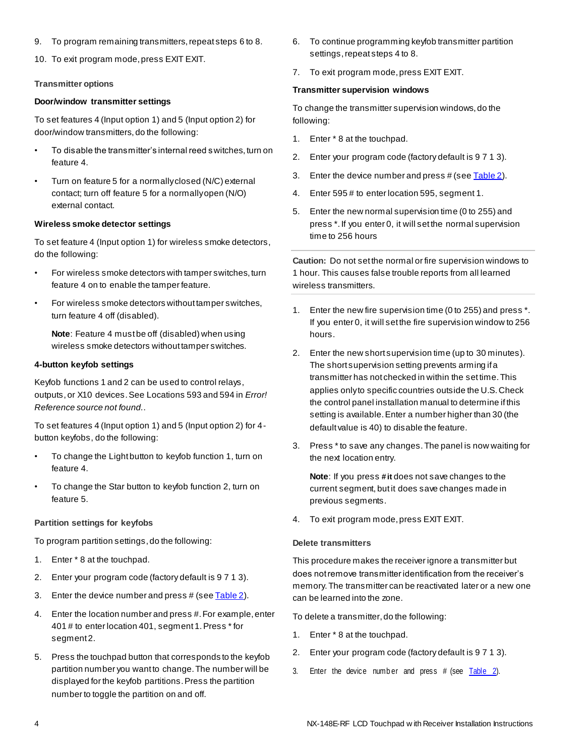- 9. To program remaining transmitters, repeat steps 6 to 8.
- 10. To exit program mode, press EXIT EXIT.

#### **Transmitter options**

#### **Door/window transmitter settings**

To set features 4 (Input option 1) and 5 (Input option 2) for door/window transmitters, do the following:

- To disable the transmitter's internal reed switches, turn on feature 4.
- Turn on feature 5 for a normally closed (N/C) external contact; turn off feature 5 for a normally open (N/O) external contact.

#### **Wireless smoke detector settings**

To set feature 4 (Input option 1) for wireless smoke detectors, do the following:

- For wireless smoke detectors with tamper switches, turn feature 4 on to enable the tamper feature.
- For wireless smoke detectors without tamper switches, turn feature 4 off (disabled).

**Note**: Feature 4 must be off (disabled) when using wireless smoke detectors without tamper switches.

#### **4-button keyfob settings**

Keyfob functions 1 and 2 can be used to control relays, outputs, or X10 devices. See Locations 593 and 594 in *Error! Reference source not found.*.

To set features 4 (Input option 1) and 5 (Input option 2) for 4 button keyfobs, do the following:

- To change the Light button to keyfob function 1, turn on feature 4.
- To change the Star button to keyfob function 2, turn on feature 5.

#### **Partition settings for keyfobs**

To program partition settings, do the following:

- 1. Enter \* 8 at the touchpad.
- 2. Enter your program code (factory default is 9 7 1 3).
- 3. Enter the device number and press # (se[e Table 2\)](file:///D:/Documents%20and%20Settings/501890067/Local%20Settings/Temporary%20Internet%20Files/Downloads/466-2198-E.doc%23Table2%23Table2).
- 4. Enter the location number and press #. For example, enter 401 # to enter location 401, segment 1. Press \* for segment 2.
- 5. Press the touchpad button that corresponds to the keyfob partition number you want to change. The number will be displayed for the keyfob partitions. Press the partition number to toggle the partition on and off.
- 6. To continue programming keyfob transmitter partition settings, repeat steps 4 to 8.
- 7. To exit program mode, press EXIT EXIT.

#### **Transmitter supervision windows**

To change the transmitter supervision windows, do the following:

- 1. Enter \* 8 at the touchpad.
- 2. Enter your program code (factory default is 9 7 1 3).
- 3. Enter the device number and press # (se[e Table 2\)](file:///D:/Documents%20and%20Settings/501890067/Local%20Settings/Temporary%20Internet%20Files/Downloads/466-2198-E.doc%23Table2%23Table2).
- 4. Enter 595 # to enter location 595, segment 1.
- 5. Enter the new normal supervision time (0 to 255) and press \*. If you enter 0, it will set the normal supervision time to 256 hours

**Caution:** Do not set the normal or fire supervision windows to 1 hour. This causes false trouble reports from all learned wireless transmitters.

- 1. Enter the new fire supervision time (0 to 255) and press \*. If you enter 0, it will set the fire supervision window to 256 hours.
- 2. Enter the new short supervision time (up to 30 minutes). The short supervision setting prevents arming if a transmitter has not checked in within the set time. This applies only to specific countries outside the U.S. Check the control panel installation manual to determine if this setting is available. Enter a number higher than 30 (the default value is 40) to disable the feature.
- 3. Press \* to save any changes. The panel is now waiting for the next location entry.

**Note**: If you press *#* **it** does not save changes to the current segment, but it does save changes made in previous segments.

4. To exit program mode, press EXIT EXIT.

#### **Delete transmitters**

This procedure makes the receiver ignore a transmitter but does not remove transmitter identification from the receiver's memory. The transmitter can be reactivated later or a new one can be learned into the zone.

To delete a transmitter, do the following:

- 1. Enter \* 8 at the touchpad.
- 2. Enter your program code (factory default is 9 7 1 3).
- 3. Enter the device number and press  $#$  (see  $Table 2$ ).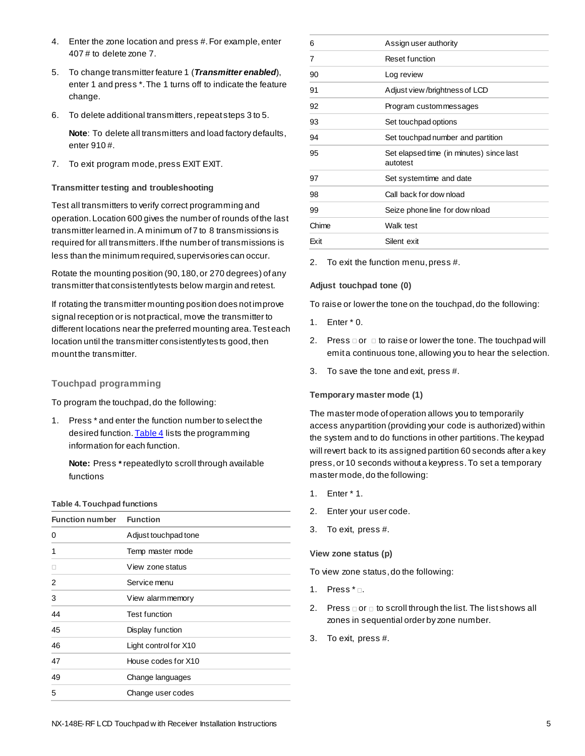- 4. Enter the zone location and press #. For example, enter 407 # to delete zone 7.
- 5. To change transmitter feature 1 (*Transmitter enabled*), enter 1 and press \*. The 1 turns off to indicate the feature change.
- 6. To delete additional transmitters, repeat steps 3 to 5.

**Note**: To delete all transmitters and load factory defaults, enter 910 #.

7. To exit program mode, press EXIT EXIT.

# **Transmitter testing and troubleshooting**

Test all transmitters to verify correct programming and operation. Location 600 gives the number of rounds of the last transmitter learned in. A minimum of 7 to 8 transmissions is required for all transmitters. If the number of transmissions is less than the minimum required, supervisories can occur.

Rotate the mounting position (90, 180, or 270 degrees) of any transmitter that consistently tests below margin and retest.

If rotating the transmitter mounting position does not improve signal reception or is not practical, move the transmitter to different locations near the preferred mounting area. Test each location until the transmitter consistently tes ts good, then mount the transmitter.

# **Touchpad programming**

To program the touchpad, do the following:

1. Press \* and enter the function number to select the desired function[. Table 4](file:///D:/Documents%20and%20Settings/501890067/Local%20Settings/Temporary%20Internet%20Files/Downloads/466-2198-E.doc%23Table4%23Table4) lists the programming information for each function.

**Note:** Press *\** repeatedly to scroll through available functions

#### **Table 4. Touchpad functions**

| <b>Function number</b> | <b>Function</b>       |
|------------------------|-----------------------|
| 0                      | Adjust touchpad tone  |
| 1                      | Temp master mode      |
|                        | View zone status      |
| 2                      | Service menu          |
| 3                      | View alarmmemory      |
| 44                     | <b>Test function</b>  |
| 45                     | Display function      |
| 46                     | Light control for X10 |
| 47                     | House codes for X10   |
| 49                     | Change languages      |
| 5                      | Change user codes     |

| 6     | Assign user authority                                |
|-------|------------------------------------------------------|
| 7     | Reset function                                       |
| 90    | Log review                                           |
| 91    | Adjust view/brightness of LCD                        |
| 92    | Program custommessages                               |
| 93    | Set touchpad options                                 |
| 94    | Set touchpad number and partition                    |
| 95    | Set elapsed time (in minutes) since last<br>autotest |
| 97    | Set systemtime and date                              |
| 98    | Call back for dow nload                              |
| 99    | Seize phone line for dow nload                       |
| Chime | Walk test                                            |
| Exit  | Silent exit                                          |
|       |                                                      |

2. To exit the function menu, press #.

### **Adjust touchpad tone (0)**

To raise or lower the tone on the touchpad, do the following:

- 1. Enter \* 0.
- 2. Press  $\Box$  or  $\Box$  to raise or lower the tone. The touchpad will emit a continuous tone, allowing you to hear the selection.
- 3. To save the tone and exit, press #.

### **Temporary master mode (1)**

The master mode of operation allows you to temporarily access any partition (providing your code is authorized) within the system and to do functions in other partitions. The keypad will revert back to its assigned partition 60 seconds after a key press, or 10 seconds without a keypress. To set a temporary master mode, do the following:

- 1. Enter \* 1.
- 2. Enter your user code.
- 3. To exit, press #.

### **View zone status (p)**

To view zone status, do the following:

- 1. Press  $* \square$ .
- 2. Press  $\Box$  or  $\Box$  to scroll through the list. The list shows all zones in sequential order by zone number.
- 3. To exit, press #.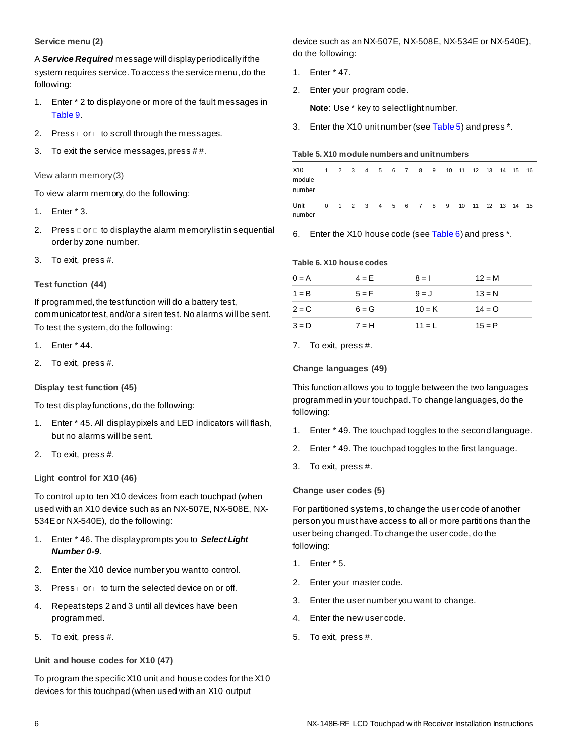# **Service menu (2)**

A *Service Required* message will display periodically if the system requires service. To access the service menu, do the following:

- 1. Enter \* 2 to display one or more of the fault messages in [Table 9.](file:///D:/Documents%20and%20Settings/501890067/Local%20Settings/Temporary%20Internet%20Files/Downloads/466-2198-E.doc%23Table9%23Table9)
- 2. Press  $\Box$  or  $\Box$  to scroll through the messages.
- 3. To exit the service messages, press # #.

View alarm memory (3)

To view alarm memory, do the following:

- 1. Enter \* 3.
- 2. Press  $\Box$  or  $\Box$  to display the alarm memory list in sequential order by zone number.
- 3. To exit, press #.

# **Test function (44)**

If programmed, the test function will do a battery test, communicator test, and/or a siren test. No alarms will be sent. To test the system, do the following:

- 1. Enter \* 44.
- 2. To exit, press #.

**Display test function (45)**

To test display functions, do the following:

- 1. Enter \* 45. All display pixels and LED indicators will flash, but no alarms will be sent.
- 2. To exit, press #.

# **Light control for X10 (46)**

To control up to ten X10 devices from each touchpad (when used with an X10 device such as an NX-507E, NX-508E, NX-534E or NX-540E), do the following:

- 1. Enter \* 46. The display prompts you to *Select Light Number 0-9*.
- 2. Enter the X10 device number you want to control.
- 3. Press  $\Box$  or  $\Box$  to turn the selected device on or off.
- 4. Repeat steps 2 and 3 until all devices have been programmed.
- 5. To exit, press #.

# **Unit and house codes for X10 (47)**

To program the specific X10 unit and house codes for the X10 devices for this touchpad (when used with an X10 output

device such as an NX-507E, NX-508E, NX-534E or NX-540E), do the following:

- 1. Enter \* 47.
- 2. Enter your program code.

**Note**: Use \* key to select light number.

3. Enter the X10 unit number (se[e Table 5\)](file:///D:/Documents%20and%20Settings/501890067/Local%20Settings/Temporary%20Internet%20Files/Downloads/466-2198-E.doc%23Table5%23Table5) and press \*.

#### **Table 5. X10 module numbers and unit numbers**

| X10<br>module<br>number |  |  |  | 1 2 3 4 5 6 7 8 9 |                     |  | 10 11 12 13 14 15 16 |  |  |
|-------------------------|--|--|--|-------------------|---------------------|--|----------------------|--|--|
| Unit<br>number          |  |  |  |                   | 0 1 2 3 4 5 6 7 8 9 |  | 10 11 12 13 14 15    |  |  |

6. Enter the X10 house code (se[e Table 6\)](file:///D:/Documents%20and%20Settings/501890067/Local%20Settings/Temporary%20Internet%20Files/Downloads/466-2198-E.doc%23Table6%23Table6) and press \*.

#### **Table 6. X10 house codes**

| $0 = A$ | $4 = E$ | $8 = 1$  | $12 = M$ |
|---------|---------|----------|----------|
| $1 = B$ | $5 = F$ | $9 = J$  | $13 = N$ |
| $2 = C$ | $6 = G$ | $10 = K$ | $14 = Q$ |
| $3 = D$ | $7 = H$ | $11 = L$ | $15 = P$ |
|         |         |          |          |

7. To exit, press #.

# **Change languages (49)**

This function allows you to toggle between the two languages programmed in your touchpad. To change languages, do the following:

- 1. Enter \* 49. The touchpad toggles to the second language.
- 2. Enter \* 49. The touchpad toggles to the first language.
- 3. To exit, press #.

# **Change user codes (5)**

For partitioned systems, to change the user code of another person you must have access to all or more partitions than the user being changed. To change the user code, do the following:

- 1. Enter \* 5.
- 2. Enter your master code.
- 3. Enter the user number you want to change.
- 4. Enter the new user code.
- 5. To exit, press #.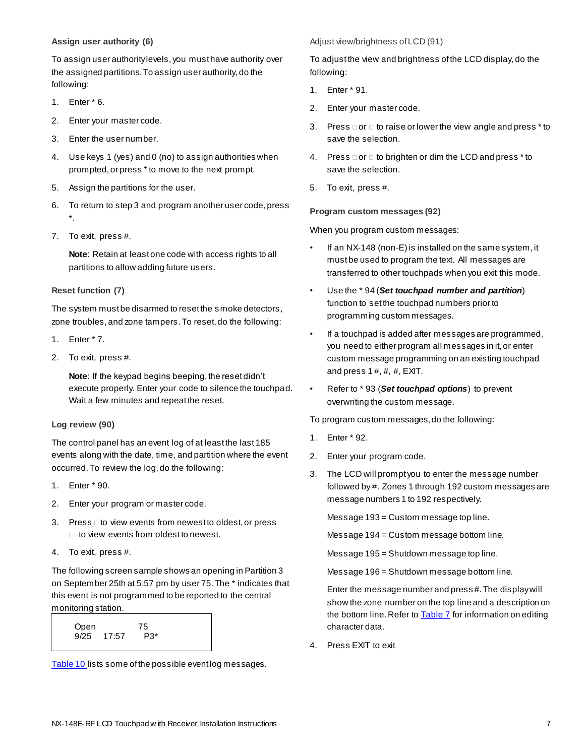# **Assign user authority (6)**

To assign user authority levels, you must have authority over the assigned partitions. To assign user authority, do the following:

- 1. Enter \* 6.
- 2. Enter your master code.
- 3. Enter the user number.
- 4. Use keys 1 (yes) and 0 (no) to assign authorities when prompted, or press \* to move to the next prompt.
- 5. Assign the partitions for the user.
- 6. To return to step 3 and program another user code, press \*.
- 7. To exit, press #.

**Note**: Retain at least one code with access rights to all partitions to allow adding future users.

# **Reset function (7)**

The system must be disarmed to reset the smoke detectors, zone troubles, and zone tampers. To reset, do the following:

- 1. Enter \* 7.
- 2. To exit, press #.

**Note**: If the keypad begins beeping, the reset didn't execute properly. Enter your code to silence the touchpad. Wait a few minutes and repeat the reset.

### **Log review (90)**

The control panel has an event log of at least the last 185 events along with the date, time, and partition where the event occurred. To review the log, do the following:

- 1. Enter \* 90.
- 2. Enter your program or master code.
- 3. Press do view events from newest to oldest, or press **Duto view events from oldest to newest.**
- 4. To exit, press #.

The following screen sample shows an opening in Partition 3 on September 25th at 5:57 pm by user 75. The \* indicates that this event is not programmed to be reported to the central monitoring station.



[Table 10 li](file:///D:/Documents%20and%20Settings/501890067/Local%20Settings/Temporary%20Internet%20Files/Downloads/466-2198-E.doc%23Table10%23Table10)sts some of the possible event log messages.

Adjust view/brightness of LCD (91)

To adjust the view and brightness of the LCD display, do the following:

- 1. Enter \* 91.
- 2. Enter your master code.
- 3. Press  $\Box$  or  $\Box$  to raise or lower the view angle and press  $*$  to save the selection.
- 4. Press  $\Box$  or  $\Box$  to brighten or dim the LCD and press  $*$  to save the selection.
- 5. To exit, press #.

# **Program custom messages (92)**

When you program custom messages:

- If an NX-148 (non-E) is installed on the same system, it must be used to program the text. All messages are transferred to other touchpads when you exit this mode.
- Use the \* 94 (*Set touchpad number and partition*) function to set the touchpad numbers prior to programming custom messages.
- If a touchpad is added after messages are programmed, you need to either program all messages in it, or enter custom message programming on an existing touchpad and press  $1 \#$ ,  $\#$ ,  $\#$ ,  $EXIT$ .
- Refer to \* 93 (*Set touchpad options*) to prevent overwriting the custom message.

To program custom messages, do the following:

- 1. Enter \* 92.
- 2. Enter your program code.
- 3. The LCD will prompt you to enter the message number followed by #. Zones 1 through 192 custom messages are message numbers 1 to 192 respectively.

Message 193 = Custom message top line.

Message 194 = Custom message bottom line.

Message 195 = Shutdown message top line.

Message 196 = Shutdown message bottom line.

Enter the message number and press #. The display will show the zone number on the top line and a description on the bottom line. Refer to **Table 7** for information on editing character data.

4. Press EXIT to exit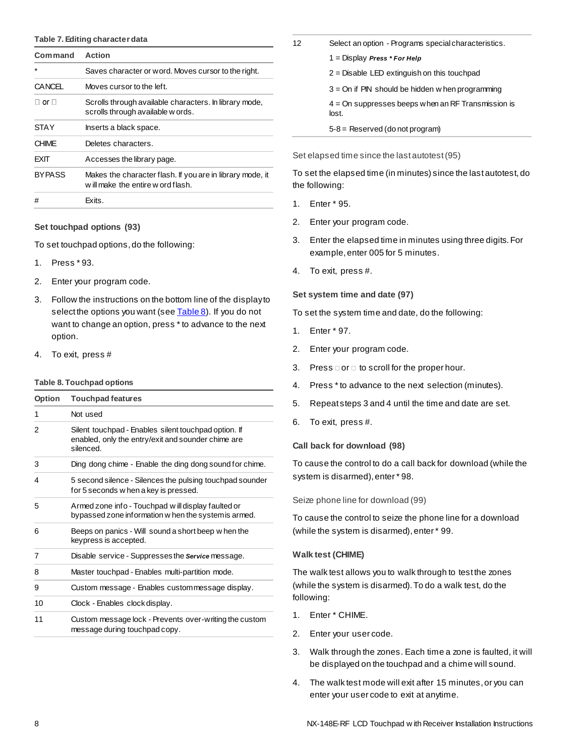#### **Table 7. Editing character data**

| <b>Command</b>       | <b>Action</b>                                                                                 |
|----------------------|-----------------------------------------------------------------------------------------------|
|                      | Saves character or word. Moves cursor to the right.                                           |
| <b>CANCEL</b>        | Moves cursor to the left.                                                                     |
| $\sqcap$ or $\sqcap$ | Scrolls through available characters. In library mode,<br>scrolls through available w ords.   |
| STAY                 | Inserts a black space.                                                                        |
| <b>CHIMF</b>         | Deletes characters.                                                                           |
| FXIT                 | Accesses the library page.                                                                    |
| <b>BYPASS</b>        | Makes the character flash. If you are in library mode, it<br>will make the entire word flash. |
| #                    | Exits.                                                                                        |

#### **Set touchpad options (93)**

To set touchpad options, do the following:

- 1. Press \* 93.
- 2. Enter your program code.
- 3. Follow the instructions on the bottom line of the display to select the options you want (se[e Table 8\)](file:///D:/Documents%20and%20Settings/501890067/Local%20Settings/Temporary%20Internet%20Files/Downloads/466-2198-E.doc%23Table8%23Table8). If you do not want to change an option, press \* to advance to the next option.
- 4. To exit, press #

#### **Table 8. Touchpad options**

| <b>Option</b> | <b>Touchpad features</b>                                                                                                |
|---------------|-------------------------------------------------------------------------------------------------------------------------|
| 1             | Not used                                                                                                                |
| 2             | Silent touchpad - Enables silent touchpad option. If<br>enabled, only the entry/exit and sounder chime are<br>silenced. |
| 3             | Ding dong chime - Enable the ding dong sound for chime.                                                                 |
| 4             | 5 second silence - Silences the pulsing touchpad sounder<br>for 5 seconds w hen a key is pressed.                       |
| 5             | Armed zone info - Touchpad will display faulted or<br>bypassed zone information w hen the system is armed.              |
| 6             | Beeps on panics - Will sound a short beep w hen the<br>keypress is accepted.                                            |
| 7             | Disable service - Suppresses the Service message.                                                                       |
| 8             | Master touchpad - Enables multi-partition mode.                                                                         |
| 9             | Custom message - Enables custom message display.                                                                        |
| 10            | Clock - Enables clock display.                                                                                          |
| 11            | Custom message lock - Prevents over-writing the custom<br>message during touchpad copy.                                 |

| 12 | Select an option - Programs special characteristics.          |
|----|---------------------------------------------------------------|
|    | 1 = Display Press * For Help                                  |
|    | $2$ = Disable LED extinguish on this touchpad                 |
|    | $3$ = On if PIN should be hidden w hen programming            |
|    | $4 =$ On suppresses beeps when an RF Transmission is<br>lost. |
|    | $5-8$ = Reserved (do not program)                             |

Set elapsed time since the last autotest (95)

To set the elapsed time (in minutes) since the last autotest, do the following:

- 1. Enter \* 95.
- 2. Enter your program code.
- 3. Enter the elapsed time in minutes using three digits. For example, enter 005 for 5 minutes.
- 4. To exit, press #.

#### **Set system time and date (97)**

To set the system time and date, do the following:

- 1. Enter \* 97.
- 2. Enter your program code.
- 3. Press  $\Box$  or  $\Box$  to scroll for the proper hour.
- 4. Press \* to advance to the next selection (minutes).
- 5. Repeat steps 3 and 4 until the time and date are set.
- 6. To exit, press #.

#### **Call back for download (98)**

To cause the control to do a call back for download (while the system is disarmed), enter \* 98.

Seize phone line for download (99)

To cause the control to seize the phone line for a download (while the system is disarmed), enter \* 99.

#### **Walk test (CHIME)**

The walk test allows you to walk through to test the zones (while the system is disarmed). To do a walk test, do the following:

- 1. Enter \* CHIME.
- 2. Enter your user code.
- 3. Walk through the zones. Each time a zone is faulted, it will be displayed on the touchpad and a chime will sound.
- 4. The walk test mode will exit after 15 minutes, or you can enter your user code to exit at anytime.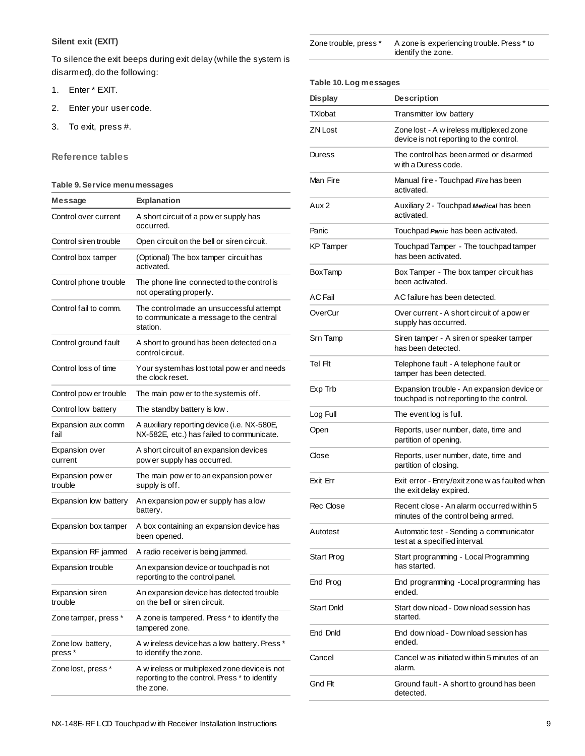# **Silent exit (EXIT)**

To silence the exit beeps during exit delay (while the system is disarmed), do the following:

- 1. Enter \* EXIT.
- 2. Enter your user code.
- 3. To exit, press #.

# **Reference tables**

# **Table 9. Service menu messages**

| Message                           | <b>Explanation</b>                                                                                          |
|-----------------------------------|-------------------------------------------------------------------------------------------------------------|
| Control over current              | A short circuit of a pow er supply has<br>occurred.                                                         |
| Control siren trouble             | Open circuit on the bell or siren circuit.                                                                  |
| Control box tamper                | (Optional) The box tamper circuit has<br>activated.                                                         |
| Control phone trouble             | The phone line connected to the control is<br>not operating properly.                                       |
| Control fail to comm.             | The control made an unsuccessful attempt<br>to communicate a message to the central<br>station.             |
| Control ground fault              | A short to ground has been detected on a<br>control circuit.                                                |
| Control loss of time              | Your systemhas lost total pow er and needs<br>the clock reset.                                              |
| Control pow er trouble            | The main pow er to the system is off.                                                                       |
| Control low battery               | The standby battery is low.                                                                                 |
| Expansion aux comm<br>fail        | A auxiliary reporting device (i.e. NX-580E,<br>NX-582E, etc.) has failed to communicate.                    |
| <b>Expansion over</b><br>current  | A short circuit of an expansion devices<br>pow er supply has occurred.                                      |
| Expansion pow er<br>trouble       | The main pow er to an expansion pow er<br>supply is off.                                                    |
| Expansion low battery             | An expansion pow er supply has a low<br>battery.                                                            |
| Expansion box tamper              | A box containing an expansion device has<br>been opened.                                                    |
| Expansion RF jammed               | A radio receiver is being jammed.                                                                           |
| <b>Expansion trouble</b>          | An expansion device or touchpad is not<br>reporting to the control panel.                                   |
| <b>Expansion siren</b><br>trouble | An expansion device has detected trouble<br>on the bell or siren circuit.                                   |
| Zone tamper, press *              | A zone is tampered. Press * to identify the<br>tampered zone.                                               |
| Zone low battery,<br>press*       | A wireless device has a low battery. Press *<br>to identify the zone.                                       |
| Zone lost, press *                | A w ireless or multiplexed zone device is not<br>reporting to the control. Press * to identify<br>the zone. |

| Zone trouble, press * | A zone is experiencing trouble. Press * to |
|-----------------------|--------------------------------------------|
|                       | identify the zone.                         |

#### **Table 10. Log messages**

| <b>Display</b>    | <b>Description</b>                                                                      |  |
|-------------------|-----------------------------------------------------------------------------------------|--|
| TXlobat           | Transmitter low battery                                                                 |  |
| ZN Lost           | Zone lost - A w ireless multiplexed zone<br>device is not reporting to the control.     |  |
| Duress            | The control has been armed or disarmed<br>w ith a Duress code.                          |  |
| Man Fire          | Manual fire - Touchpad Fire has been<br>activated.                                      |  |
| Aux <sub>2</sub>  | Auxiliary 2 - Touchpad Medical has been<br>activated.                                   |  |
| Panic             | Touchpad Panic has been activated.                                                      |  |
| <b>KP</b> Tamper  | Touchpad Tamper - The touchpad tamper<br>has been activated.                            |  |
| <b>BoxTamp</b>    | Box Tamper - The box tamper circuit has<br>been activated.                              |  |
| AC Fail           | AC failure has been detected.                                                           |  |
| OverCur           | Over current - A short circuit of a pow er<br>supply has occurred.                      |  |
| Srn Tamp          | Siren tamper - A siren or speaker tamper<br>has been detected.                          |  |
| Tel Flt           | Telephone fault - A telephone fault or<br>tamper has been detected.                     |  |
| Exp Trb           | Expansion trouble - An expansion device or<br>touchpad is not reporting to the control. |  |
| Log Full          | The event log is full.                                                                  |  |
| Open              | Reports, user number, date, time and<br>partition of opening.                           |  |
| Close             | Reports, user number, date, time and<br>partition of closing.                           |  |
| Exit Err          | Exit error - Entry/exit zone w as faulted when<br>the exit delay expired.               |  |
| Rec Close         | Recent close - An alarm occurred within 5<br>minutes of the control being armed.        |  |
| Autotest          | Automatic test - Sending a communicator<br>test at a specified interval.                |  |
| Start Prog        | Start programming - Local Programming<br>has started.                                   |  |
| End Prog          | End programming - Local programming has<br>ended.                                       |  |
| <b>Start Dnld</b> | Start dow nload - Dow nload session has<br>started.                                     |  |
| End DnId          | End dow nload - Dow nload session has<br>ended.                                         |  |
| Cancel            | Cancel w as initiated w ithin 5 minutes of an<br>alarm.                                 |  |
| Gnd Flt           | Ground fault - A short to ground has been<br>detected.                                  |  |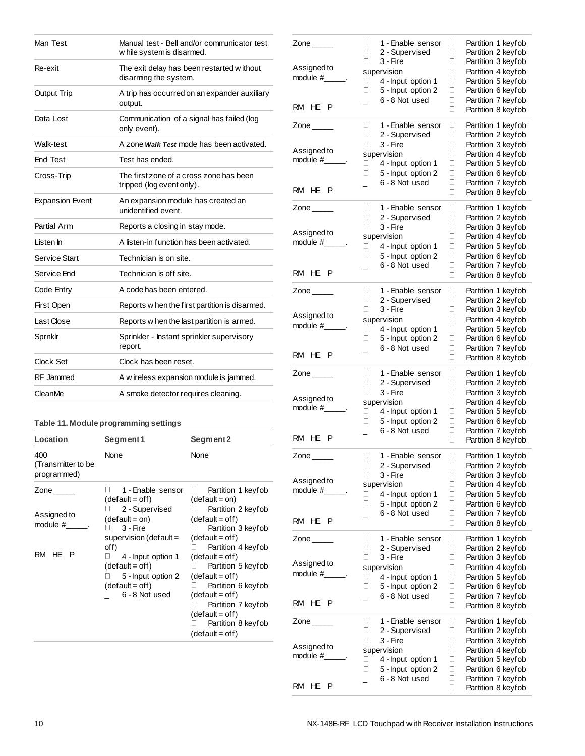| Man Test               | Manual test - Bell and/or communicator test<br>w hile system is disarmed. |
|------------------------|---------------------------------------------------------------------------|
| Re-exit                | The exit delay has been restarted without<br>disarming the system.        |
| <b>Output Trip</b>     | A trip has occurred on an expander auxiliary<br>output.                   |
| Data Lost              | Communication of a signal has failed (log<br>only event).                 |
| Walk-test              | A zone <i>Walk Test</i> mode has been activated.                          |
| <b>End Test</b>        | Test has ended.                                                           |
| Cross-Trip             | The first zone of a cross zone has been<br>tripped (log event only).      |
| <b>Expansion Event</b> | An expansion module has created an<br>unidentified event.                 |
| Partial Arm            | Reports a closing in stay mode.                                           |
| Listen In              | A listen-in function has been activated.                                  |
| Service Start          | Technician is on site.                                                    |
| Service End            | Technician is off site.                                                   |
| Code Entry             | A code has been entered.                                                  |
| First Open             | Reports w hen the first partition is disarmed.                            |
| Last Close             | Reports w hen the last partition is armed.                                |
| Sprnklr                | Sprinkler - Instant sprinkler supervisory<br>report.                      |
| Clock Set              | Clock has been reset.                                                     |
| RF Jammed              | A w ireless expansion module is jammed.                                   |
| CleanMe                | A smoke detector requires cleaning.                                       |

# **Table 11. Module programming settings**

| Location                                 | Segment 1                                                                                                    | Segment 2<br>None                                                                                                                                                                                                          |  |
|------------------------------------------|--------------------------------------------------------------------------------------------------------------|----------------------------------------------------------------------------------------------------------------------------------------------------------------------------------------------------------------------------|--|
| 400<br>(Transmitter to be<br>programmed) | None                                                                                                         |                                                                                                                                                                                                                            |  |
| Zone                                     | 1 - Enable sensor<br>$(detault = off)$                                                                       | Partition 1 keyfob<br>$(detault = on)$                                                                                                                                                                                     |  |
| Assigned to<br>module #                  | □ 2 - Supervised<br>$(detault = on)$<br>3 - Fire<br>supervision (default =                                   | <b>D</b> Partition 2 keyfob<br>$(detault = off)$<br>Partition 3 keyfob<br>$(detault = off)$                                                                                                                                |  |
| RM HE P                                  | off)<br>4 - Input option 1<br>$(detault = off)$<br>5 - Input option 2<br>$(detault = off)$<br>6 - 8 Not used | Partition 4 keyfob<br>$(detault = off)$<br>$\Box$ Partition 5 keyfob<br>$(detault = off)$<br>Partition 6 keyfob<br>$(detault = off)$<br>Partition 7 keyfob<br>$(detault = off)$<br>Partition 8 keyfob<br>$(detault = off)$ |  |

| Zone $\_\_$             | 0<br>1 - Enable sensor<br>0<br>2 - Supervised<br>0<br>3 - Fire | Partition 1 keyfob<br>0<br>Partition 2 keyfob<br>О<br>Partition 3 keyfob<br>0 |
|-------------------------|----------------------------------------------------------------|-------------------------------------------------------------------------------|
| Assigned to             | supervision                                                    | Partition 4 keyfob<br>О                                                       |
| module $#$ .            | п<br>4 - Input option 1                                        | О<br>Partition 5 keyfob                                                       |
|                         | 0<br>5 - Input option 2                                        | Partition 6 keyfob<br>0                                                       |
|                         | 6 - 8 Not used<br>$\overline{\phantom{a}}$                     | 0<br>Partition 7 keyfob                                                       |
| RM HE P                 |                                                                | Partition 8 keyfob<br>0                                                       |
| Zone $\_\_\_\_\_\$      | 1 - Enable sensor<br>u                                         | Partition 1 keyfob<br>u                                                       |
|                         | 0<br>2 - Supervised                                            | Ο<br>Partition 2 keyfob                                                       |
|                         | 0<br>3 - Fire                                                  | Partition 3 keyfob<br>0                                                       |
| Assigned to<br>module # | supervision                                                    | Partition 4 keyfob<br>0                                                       |
|                         | О<br>4 - Input option 1                                        | Ο<br>Partition 5 keyfob                                                       |
|                         | 5 - Input option 2<br>0                                        | Partition 6 keyfob<br>0                                                       |
| RM HE<br>P              | 6 - 8 Not used<br>$\overline{a}$                               | Partition 7 keyfob<br>0<br>0<br>Partition 8 keyfob                            |
|                         |                                                                |                                                                               |
| Zone $\_\_\_\_\_\_\$    | 0<br>1 - Enable sensor                                         | 0<br>Partition 1 keyfob                                                       |
|                         | 0<br>2 - Supervised                                            | 0<br>Partition 2 keyfob                                                       |
| Assigned to             | 0<br>3 - Fire                                                  | □<br>Partition 3 keyfob                                                       |
| module $#$ $\qquad$ .   | supervision                                                    | Ο<br>Partition 4 keyfob                                                       |
|                         | 4 - Input option 1<br>0<br>Π<br>5 - Input option 2             | Ο<br>Partition 5 keyfob<br>Ο<br>Partition 6 keyfob                            |
|                         | 6 - 8 Not used<br>$\overline{a}$                               | 0<br>Partition 7 keyfob                                                       |
| RM HEP                  |                                                                | 0<br>Partition 8 keyfob                                                       |
|                         |                                                                |                                                                               |
| Zone $\_\_$             | 0<br>1 - Enable sensor<br>0<br>2 - Supervised                  | 0<br>Partition 1 keyfob<br>О                                                  |
|                         | 0<br>3 - Fire                                                  | Partition 2 keyfob<br>0<br>Partition 3 keyfob                                 |
| Assigned to             | supervision                                                    | 0<br>Partition 4 keyfob                                                       |
| module #                | 4 - Input option 1<br>0                                        | 0<br>Partition 5 keyfob                                                       |
|                         | 0<br>5 - Input option 2                                        | 0<br>Partition 6 keyfob                                                       |
|                         | 6 - 8 Not used                                                 | Partition 7 keyfob<br>0                                                       |
| RM HE P                 |                                                                | 0<br>Partition 8 keyfob                                                       |
| Zone $\_\_$             | 0<br>1 - Enable sensor                                         | u<br>Partition 1 keyfob                                                       |
|                         | 0<br>2 - Supervised                                            | 0<br>Partition 2 keyfob                                                       |
|                         | 0<br>3 - Fire                                                  | 0<br>Partition 3 keyfob                                                       |
| Assigned to             |                                                                |                                                                               |
|                         | supervision                                                    | 0<br>Partition 4 keyfob                                                       |
| module $#$              | 0<br>4 - Input option 1                                        | Partition 5 keyfob<br>0                                                       |
|                         | 5 - Input option 2<br>0                                        | 0<br>Partition 6 keyfob                                                       |
|                         | 6 - 8 Not used                                                 | 0<br>Partition 7 keyfob                                                       |
| RM HE P                 |                                                                | Partition 8 keyfob<br>0                                                       |
| Zone $\_\_$             | 0<br>1 - Enable sensor                                         | 0<br>Partition 1 keyfob                                                       |
|                         | 2 - Supervised<br>$\Box$                                       | Partition 2 keyfob<br>$\Box$                                                  |
|                         | 3 - Fire<br>0                                                  | о<br>Partition 3 keyfob                                                       |
| Assigned to             | supervision                                                    | 0<br>Partition 4 keyfob                                                       |
| module $#$              | 4 - Input option 1<br>0                                        | Ο<br>Partition 5 keyfob                                                       |
|                         | 5 - Input option 2<br>0                                        | □<br>Partition 6 keyfob<br>Ο                                                  |
| RM HE P                 | 6 - 8 Not used                                                 | Partition 7 keyfob<br>0<br>Partition 8 keyfob                                 |
|                         |                                                                |                                                                               |
| $\mathsf{Zone} \_\_$    | 0<br>1 - Enable sensor                                         | 0<br>Partition 1 keyfob                                                       |
|                         | 0<br>2 - Supervised                                            | □<br>Partition 2 keyfob                                                       |
| Assigned to             | О<br>3 - Fire                                                  | □<br>Partition 3 keyfob<br>Ο                                                  |
| module #                | supervision<br>0<br>4 - Input option 1                         | Partition 4 keyfob<br>о<br>Partition 5 keyfob                                 |
|                         | 0<br>5 - Input option 2                                        | о<br>Partition 6 keyfob                                                       |
|                         | 6 - 8 Not used                                                 | 0<br>Partition 7 keyfob                                                       |
| RM HE<br>$\mathsf{P}$   |                                                                | 0<br>Partition 8 keyfob                                                       |
| Zone $\_\_$             | о<br>1 - Enable sensor                                         | о<br>Partition 1 keyfob                                                       |
|                         | о<br>2 - Supervised                                            | 0<br>Partition 2 keyfob                                                       |
|                         | 0<br>3 - Fire                                                  | о<br>Partition 3 keyfob                                                       |
| Assigned to             | supervision                                                    | □<br>Partition 4 keyfob                                                       |
|                         | 0<br>4 - Input option 1                                        | Ο<br>Partition 5 keyfob                                                       |
|                         | 0<br>5 - Input option 2                                        | о<br>Partition 6 keyfob                                                       |
| RM HE<br>- P            | 6 - 8 Not used                                                 | 0<br>Partition 7 keyfob<br>0<br>Partition 8 keyfob                            |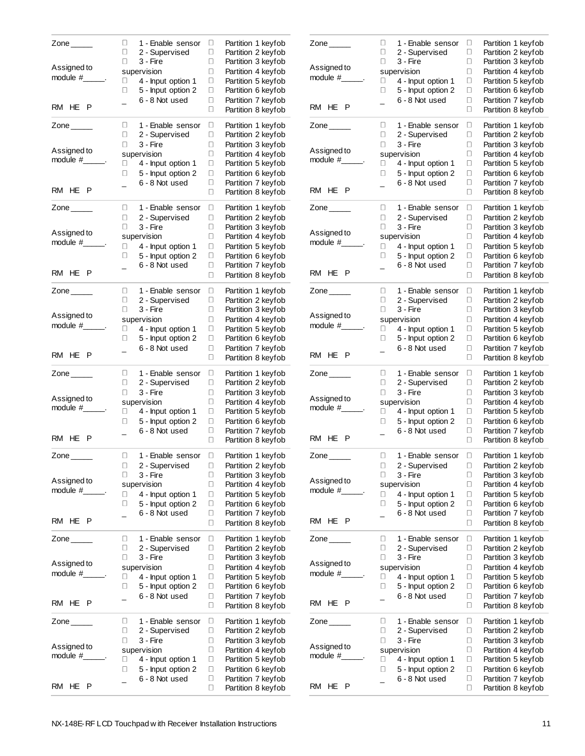| Zone $\_\_$                                              | 0<br>0<br>0                        | 1 - Enable sensor<br>2 - Supervised<br>3 - Fire                                                                              | Partition 1 keyfob<br>0<br>О<br>Partition 2 keyfob<br>О<br>Partition 3 keyfob                                                                                                                                        |
|----------------------------------------------------------|------------------------------------|------------------------------------------------------------------------------------------------------------------------------|----------------------------------------------------------------------------------------------------------------------------------------------------------------------------------------------------------------------|
| Assigned to<br>$module$ # $.$                            | 0<br>0<br>$\overline{a}$           | supervision<br>4 - Input option 1<br>5 - Input option 2<br>6 - 8 Not used                                                    | Partition 4 keyfob<br>О<br>Partition 5 keyfob<br>0<br>О<br>Partition 6 keyfob<br>О<br>Partition 7 keyfob                                                                                                             |
| RM HE P                                                  |                                    |                                                                                                                              | Partition 8 keyfob<br>0                                                                                                                                                                                              |
| Zone $\_\_\_\_\_\$<br>Assigned to<br>module #<br>RM HE P | 0<br>0<br>О<br>0<br>0              | 1 - Enable sensor<br>2 - Supervised<br>3 - Fire<br>supervision<br>4 - Input option 1<br>5 - Input option 2<br>6 - 8 Not used | 0<br>Partition 1 keyfob<br>0<br>Partition 2 keyfob<br>Partition 3 keyfob<br>0<br>0<br>Partition 4 keyfob<br>0<br>Partition 5 keyfob<br>Partition 6 keyfob<br>0<br>Partition 7 keyfob<br>0<br>0<br>Partition 8 keyfob |
|                                                          |                                    |                                                                                                                              |                                                                                                                                                                                                                      |
| Zone $\_\_\_\_\_\$<br>Assigned to<br>module #<br>RM HE P | 0<br>0<br>0<br>0<br>0              | 1 - Enable sensor<br>2 - Supervised<br>3 - Fire<br>supervision<br>4 - Input option 1<br>5 - Input option 2<br>6 - 8 Not used | о<br>Partition 1 keyfob<br>О<br>Partition 2 keyfob<br>О<br>Partition 3 keyfob<br>0<br>Partition 4 keyfob<br>О<br>Partition 5 keyfob<br>0<br>Partition 6 keyfob<br>О<br>Partition 7 keyfob                            |
|                                                          |                                    |                                                                                                                              | 0<br>Partition 8 keyfob                                                                                                                                                                                              |
| Zone $\_\_$<br>Assigned to<br>module #____<br>RM HE P    | 0<br>0<br>0<br>0<br>0              | 1 - Enable sensor<br>2 - Supervised<br>3 - Fire<br>supervision<br>4 - Input option 1<br>5 - Input option 2<br>6 - 8 Not used | 0<br>Partition 1 keyfob<br>О<br>Partition 2 keyfob<br>0<br>Partition 3 keyfob<br>0<br>Partition 4 keyfob<br>0<br>Partition 5 keyfob<br>О<br>Partition 6 keyfob<br>0<br>Partition 7 keyfob<br>0<br>Partition 8 keyfob |
| Zone $\_\_$                                              | 0                                  | 1 - Enable sensor                                                                                                            | 0<br>Partition 1 keyfob                                                                                                                                                                                              |
| Assigned to<br>module # .<br>RM HE<br>P                  | 0<br>0<br>0<br>0                   | 2 - Supervised<br>3 - Fire<br>supervision<br>4 - Input option 1<br>5 - Input option 2<br>6 - 8 Not used                      | 0<br>Partition 2 keyfob<br>0<br>Partition 3 keyfob<br>О<br>Partition 4 keyfob<br>0<br>Partition 5 keyfob<br>Partition 6 keyfob<br>0<br>Partition 7 keyfob<br>0<br>0<br>Partition 8 keyfob                            |
| Zone $\_\_$                                              | 0                                  | 1 - Enable sensor                                                                                                            | Partition 1 keyfob<br>0                                                                                                                                                                                              |
| Assigned to<br>module #<br>RM HE P                       | О<br>О<br>0<br>О<br>$\overline{a}$ | 2 - Supervised<br>3 - Fire<br>supervision<br>4 - Input option 1<br>5 - Input option 2<br>6 - 8 Not used                      | О<br>Partition 2 keyfob<br>0<br>Partition 3 keyfob<br>О<br>Partition 4 keyfob<br>0<br>Partition 5 keyfob<br>О<br>Partition 6 keyfob<br>0<br>Partition 7 keyfob<br>0<br>Partition 8 keyfob                            |
| Zone _____                                               | u                                  | 1 - Enable sensor                                                                                                            | о<br>Partition 1 keyfob                                                                                                                                                                                              |
| Assigned to<br>module #                                  | 0<br>0<br>0<br>0                   | 2 - Supervised<br>3 - Fire<br>supervision<br>4 - Input option 1<br>5 - Input option 2<br>6 - 8 Not used                      | О<br>Partition 2 keyfob<br>0<br>Partition 3 keyfob<br>0<br>Partition 4 keyfob<br>0<br>Partition 5 keyfob<br>Ο<br>Partition 6 keyfob<br>О                                                                             |
| RM HE<br>P                                               |                                    |                                                                                                                              | Partition 7 keyfob<br>0<br>Partition 8 keyfob                                                                                                                                                                        |
| Zone $\_\_$<br>Assigned to<br>module #                   | 0<br>Ο<br>0<br>0<br>0              | 1 - Enable sensor<br>2 - Supervised<br>3 - Fire<br>supervision<br>4 - Input option 1<br>5 - Input option 2                   | о<br>Partition 1 keyfob<br>Ο<br>Partition 2 keyfob<br>0<br>Partition 3 keyfob<br>0<br>Partition 4 keyfob<br>Ο<br>Partition 5 keyfob<br>О<br>Partition 6 keyfob                                                       |
| RM HE<br>Ρ                                               | $\overline{a}$                     | 6 - 8 Not used                                                                                                               | 0<br>Partition 7 keyfob<br>О<br>Partition 8 keyfob                                                                                                                                                                   |

| Zone $\qquad \qquad$  | 0<br>1 - Enable sensor           | Partition 1 keyfob<br>0      |
|-----------------------|----------------------------------|------------------------------|
|                       | 0<br>2 - Supervised              | 0<br>Partition 2 keyfob      |
| Assigned to           | 0<br>3 - Fire                    | 0<br>Partition 3 keyfob      |
| module #              | supervision                      | Partition 4 keyfob<br>0      |
|                       | 4 - Input option 1<br>□          | 0<br>Partition 5 keyfob      |
|                       | 0<br>5 - Input option 2          | 0<br>Partition 6 keyfob      |
|                       | 6 - 8 Not used<br>$\overline{a}$ | 0<br>Partition 7 keyfob      |
| RM HE P               |                                  | 0<br>Partition 8 keyfob      |
| Zone $\_\_\_\_\_\$    | 0<br>1 - Enable sensor           | 0<br>Partition 1 keyfob      |
|                       | 0<br>2 - Supervised              | 0<br>Partition 2 keyfob      |
|                       | П<br>3 - Fire                    | Partition 3 keyfob<br>0      |
| Assigned to           | supervision                      | 0<br>Partition 4 keyfob      |
| module #              | 0<br>4 - Input option 1          | 0<br>Partition 5 keyfob      |
|                       | 0<br>5 - Input option 2          | 0<br>Partition 6 keyfob      |
|                       | 6 - 8 Not used                   | О<br>Partition 7 keyfob      |
| RM HE<br>P            |                                  | 0<br>Partition 8 keyfob      |
|                       |                                  |                              |
| Zone $\_\_$           | 0<br>1 - Enable sensor           | о<br>Partition 1 keyfob      |
|                       | 0<br>2 - Supervised              | 0<br>Partition 2 keyfob      |
|                       | 0<br>3 - Fire                    | 0<br>Partition 3 keyfob      |
| Assigned to           | supervision                      | 0<br>Partition 4 keyfob      |
| module $#$ $\qquad$ . | 4 - Input option 1<br>0          | $\Box$<br>Partition 5 keyfob |
|                       | 0<br>5 - Input option 2          | 0<br>Partition 6 keyfob      |
|                       | 6 - 8 Not used                   | 0<br>Partition 7 keyfob      |
| RM HE P               |                                  | О<br>Partition 8 keyfob      |
|                       |                                  |                              |
| Zone $\_\_$           | 0<br>1 - Enable sensor<br>0      | 0<br>Partition 1 keyfob<br>0 |
|                       | 2 - Supervised<br>0              | Partition 2 keyfob           |
| Assigned to           | 3 - Fire                         | 0<br>Partition 3 keyfob      |
| module #              | supervision                      | 0<br>Partition 4 keyfob      |
|                       | 4 - Input option 1<br>0          | 0<br>Partition 5 keyfob      |
|                       | □<br>5 - Input option 2          | □<br>Partition 6 keyfob      |
| RM HE P               | 6 - 8 Not used                   | 0<br>Partition 7 keyfob      |
|                       |                                  | 0<br>Partition 8 keyfob      |
| Zone $\_\_$           | 0<br>1 - Enable sensor           | 0<br>Partition 1 keyfob      |
|                       | 0<br>2 - Supervised              | 0<br>Partition 2 keyfob      |
|                       | 0<br>3 - Fire                    | Partition 3 keyfob<br>0      |
| Assigned to           | supervision                      | 0<br>Partition 4 keyfob      |
| module $#$            | 0<br>4 - Input option 1          | 0<br>Partition 5 keyfob      |
|                       | 5 - Input option 2<br>0          | 0<br>Partition 6 keyfob      |
|                       | 6 - 8 Not used                   | Partition 7 keyfob<br>0      |
| RM HE P               |                                  | Partition 8 keyfob<br>0      |
|                       |                                  |                              |
| Zone $\_\_\_\_\_\$    | 0<br>1 - Enable sensor           | 0<br>Partition 1 keyfob      |
|                       | 2 - Supervised<br>π.             | Partition 2 keyfob<br>0      |
| Assigned to           | 0<br>3 - Fire                    | о<br>Partition 3 keyfob      |
| module $#$            | supervision                      | 0<br>Partition 4 keyfob      |
|                       | 0<br>4 - Input option 1          | 0<br>Partition 5 keyfob      |
|                       | 5 - Input option 2<br>0          | 0<br>Partition 6 keyfob      |
| RM HE P               | 6 - 8 Not used                   | 0<br>Partition 7 keyfob      |
|                       |                                  | 0<br>Partition 8 keyfob      |
| Zone $\_\_$           | 0<br>1 - Enable sensor           | о<br>Partition 1 keyfob      |
|                       | О<br>2 - Supervised              | 0<br>Partition 2 keyfob      |
|                       | 0<br>3 - Fire                    | о<br>Partition 3 keyfob      |
| Assigned to           | supervision                      | 0<br>Partition 4 keyfob      |
| $module#$ .           | 0<br>4 - Input option 1          | 0<br>Partition 5 keyfob      |
|                       | 0<br>5 - Input option 2          | о<br>Partition 6 keyfob      |
|                       | 6 - 8 Not used                   | о<br>Partition 7 keyfob      |
| RM HE P               |                                  | 0<br>Partition 8 keyfob      |
|                       |                                  |                              |
| Zone $\qquad \qquad$  | 0<br>1 - Enable sensor           | о<br>Partition 1 keyfob      |
|                       | о<br>2 - Supervised              | о<br>Partition 2 keyfob      |
| Assigned to           | 0<br>3 - Fire                    | 0<br>Partition 3 keyfob      |
| module #_             | supervision                      | 0<br>Partition 4 keyfob      |
|                       | u<br>4 - Input option 1          | 0<br>Partition 5 keyfob      |
|                       | □<br>5 - Input option 2          | 0<br>Partition 6 keyfob      |
| RM HE<br>P            | 6 - 8 Not used                   | О<br>Partition 7 keyfob      |
|                       |                                  | 0<br>Partition 8 keyfob      |
|                       |                                  |                              |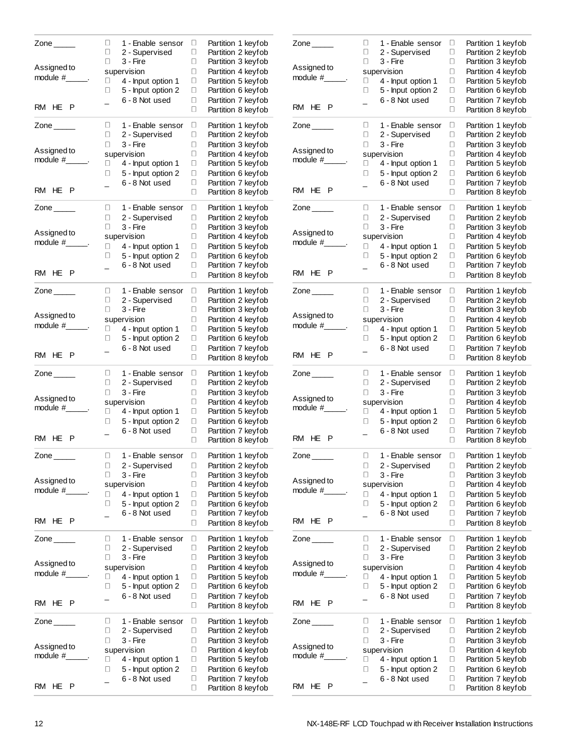| Zone $\_\_\_\_\_\$             | 0<br>0                | 1 - Enable sensor<br>2 - Supervised             | 0<br>0      | Partition 1 keyfob<br>Partition 2 keyfob                       |
|--------------------------------|-----------------------|-------------------------------------------------|-------------|----------------------------------------------------------------|
| Assigned to<br>module #______. | 0<br>0                | 3 - Fire<br>supervision<br>4 - Input option 1   | 0<br>О<br>0 | Partition 3 keyfob<br>Partition 4 keyfob<br>Partition 5 keyfob |
|                                | 0                     | 5 - Input option 2<br>6 - 8 Not used            | О<br>О      | Partition 6 keyfob<br>Partition 7 keyfob                       |
| RM HE P                        |                       |                                                 | 0           | Partition 8 keyfob                                             |
| Zone $\_\_$                    | 0<br>$\Box$<br>$\Box$ | 1 - Enable sensor<br>2 - Supervised<br>3 - Fire | О<br>О<br>0 | Partition 1 keyfob<br>Partition 2 keyfob<br>Partition 3 keyfob |
| Assigned to<br>module #______. |                       | supervision                                     | О           | Partition 4 keyfob                                             |
|                                | 0<br>0                | 4 - Input option 1<br>5 - Input option 2        | О<br>0      | Partition 5 keyfob<br>Partition 6 keyfob                       |
| RM HE P                        |                       | 6 - 8 Not used                                  | О<br>0      | Partition 7 keyfob<br>Partition 8 keyfob                       |
| Zone $\_\_\_\_\_\_\$           | U<br>0                | 1 - Enable sensor<br>2 - Supervised             | о<br>О      | Partition 1 keyfob<br>Partition 2 keyfob                       |
| Assigned to                    | $\Box$                | 3 - Fire                                        | 0<br>О      | Partition 3 keyfob                                             |
| module $#$                     | 0                     | supervision<br>4 - Input option 1               | 0           | Partition 4 keyfob<br>Partition 5 keyfob                       |
|                                | 0                     | 5 - Input option 2<br>6 - 8 Not used            | 0<br>О      | Partition 6 keyfob<br>Partition 7 keyfob                       |
| RM HE P                        |                       |                                                 | 0           | Partition 8 keyfob                                             |
| Zone $\_\_$                    | 0<br>0                | 1 - Enable sensor<br>2 - Supervised             | О<br>0      | Partition 1 keyfob<br>Partition 2 keyfob                       |
| Assigned to                    | $\Box$                | 3 - Fire                                        | О           | Partition 3 keyfob                                             |
| module #______.                | 0                     | supervision<br>4 - Input option 1               | О<br>0      | Partition 4 keyfob<br>Partition 5 keyfob                       |
|                                | 0                     | 5 - Input option 2                              | О           | Partition 6 keyfob                                             |
| RM HE P                        | $\overline{a}$        | 6 - 8 Not used                                  | О<br>0      | Partition 7 keyfob<br>Partition 8 keyfob                       |
| Zone $\_\_\_\_\_\$             | U<br>0                | 1 - Enable sensor                               | о<br>О      | Partition 1 keyfob<br>Partition 2 keyfob                       |
|                                | 0                     | 2 - Supervised<br>3 - Fire                      | О           | Partition 3 keyfob                                             |
| Assigned to<br>$module #$ .    |                       | supervision                                     | 0           | Partition 4 keyfob                                             |
|                                | 0<br>0                | 4 - Input option 1<br>5 - Input option 2        | О<br>0      | Partition 5 keyfob<br>Partition 6 keyfob                       |
| RM HE<br>P                     | $\overline{a}$        | 6 - 8 Not used                                  | 0<br>0      | Partition 7 keyfob<br>Partition 8 keyfob                       |
| Zone $\_\_$                    | 0                     | 1 - Enable sensor                               | 0           | Partition 1 keyfob                                             |
|                                | 0<br>0                | 2 - Supervised<br>3 - Fire                      | 0<br>0      | Partition 2 keyfob<br>Partition 3 keyfob                       |
| Assigned to<br>module #        |                       | supervision                                     | 0           | Partition 4 keyfob                                             |
|                                | 0<br>0                | 4 - Input option 1<br>5 - Input option 2        | 0<br>0      | Partition 5 keyfob                                             |
|                                | $\overline{a}$        | 6 - 8 Not used                                  | О           | Partition 6 keyfob<br>Partition 7 keyfob                       |
| RM HE P                        |                       |                                                 | 0           | Partition 8 keyfob                                             |
| Zone $\rule{1em}{0.15mm}$      | 0                     | 1 - Enable sensor                               | о           | Partition 1 keyfob                                             |
|                                | □<br>0                | 2 - Supervised<br>3 - Fire                      | 0<br>0      | Partition 2 keyfob<br>Partition 3 keyfob                       |
| Assigned to<br>module #        |                       | supervision                                     | О           | Partition 4 keyfob                                             |
|                                | 0<br>□                | 4 - Input option 1<br>5 - Input option 2        | 0<br>о      | Partition 5 keyfob<br>Partition 6 keyfob                       |
|                                |                       | 6 - 8 Not used                                  | О           | Partition 7 keyfob                                             |
| RM HE<br>P                     |                       |                                                 | 0           | Partition 8 keyfob                                             |
| Zone _____                     | 0<br>О                | 1 - Enable sensor<br>2 - Supervised             | о<br>о      | Partition 1 keyfob<br>Partition 2 keyfob                       |
| Assigned to                    | 0                     | 3 - Fire                                        | 0<br>0      | Partition 3 keyfob                                             |
| module #____                   | 0                     | supervision<br>4 - Input option 1               | О           | Partition 4 keyfob<br>Partition 5 keyfob                       |
|                                | 0                     | 5 - Input option 2                              | 0           | Partition 6 keyfob                                             |
| P<br><b>RM</b><br>HE           |                       | 6 - 8 Not used                                  | О<br>0      | Partition 7 keyfob<br>Partition 8 keyfob                       |

|                         | 0<br>0<br>0              | 1 - Enable sensor<br>2 - Supervised<br>3 - Fire | 0<br>0<br>О | Partition 1 keyfob<br>Partition 2 keyfob<br>Partition 3 keyfob |
|-------------------------|--------------------------|-------------------------------------------------|-------------|----------------------------------------------------------------|
| Assigned to             |                          | supervision                                     | 0           | Partition 4 keyfob                                             |
| module #                | 0                        | 4 - Input option 1                              | 0           | Partition 5 keyfob                                             |
|                         | 0                        | 5 - Input option 2                              | 0           | Partition 6 keyfob                                             |
|                         |                          | 6 - 8 Not used                                  | 0           | Partition 7 keyfob                                             |
| RM HE P                 |                          |                                                 | 0           | Partition 8 keyfob                                             |
| Zone $\_\_$             | 0                        | 1 - Enable sensor                               | 0           | Partition 1 keyfob                                             |
|                         | 0                        | 2 - Supervised                                  | 0           | Partition 2 keyfob                                             |
| Assigned to             | 0                        | 3 - Fire                                        | 0           | Partition 3 keyfob                                             |
| $module$ # $\qquad$ .   |                          | supervision                                     | 0           | Partition 4 keyfob                                             |
|                         | 0                        | 4 - Input option 1                              | 0           | Partition 5 keyfob                                             |
|                         | 0                        | 5 - Input option 2<br>6 - 8 Not used            | 0<br>О      | Partition 6 keyfob<br>Partition 7 keyfob                       |
| RM HE P                 | $\overline{a}$           |                                                 | 0           | Partition 8 keyfob                                             |
|                         |                          |                                                 |             |                                                                |
| Zone $\_\_$             | 0                        | 1 - Enable sensor                               | 0           | Partition 1 keyfob                                             |
|                         | 0                        | 2 - Supervised                                  | 0           | Partition 2 keyfob                                             |
| Assigned to             | 0                        | 3 - Fire<br>supervision                         | 0<br>0      | Partition 3 keyfob<br>Partition 4 keyfob                       |
| module $#$              | 0                        | 4 - Input option 1                              | 0           | Partition 5 keyfob                                             |
|                         | 0                        | 5 - Input option 2                              | О           | Partition 6 keyfob                                             |
|                         |                          | 6 - 8 Not used                                  | 0           | Partition 7 keyfob                                             |
| RM HE P                 |                          |                                                 | 0           | Partition 8 keyfob                                             |
| Zone $\_\_$             | 0                        | 1 - Enable sensor                               | 0           | Partition 1 keyfob                                             |
|                         | О                        | 2 - Supervised                                  | 0           | Partition 2 keyfob                                             |
|                         | 0                        | 3 - Fire                                        | 0           | Partition 3 keyfob                                             |
| Assigned to             |                          | supervision                                     | О           | Partition 4 keyfob                                             |
| module #______.         | 0                        | 4 - Input option 1                              | 0           | Partition 5 keyfob                                             |
|                         | 0                        | 5 - Input option 2                              | О           | Partition 6 keyfob                                             |
| RM HE P                 |                          | 6 - 8 Not used                                  | 0           | Partition 7 keyfob                                             |
|                         |                          |                                                 | 0           | Partition 8 keyfob                                             |
| Zone $\_\_$             | 0                        | 1 - Enable sensor                               | 0           | Partition 1 keyfob                                             |
|                         | 0                        | 2 - Supervised                                  | 0           | Partition 2 keyfob                                             |
| Assigned to             | 0                        | 3 - Fire                                        | 0           | Partition 3 keyfob                                             |
|                         |                          |                                                 |             |                                                                |
| module #                |                          | supervision                                     | 0           | Partition 4 keyfob                                             |
|                         | 0                        | 4 - Input option 1                              | 0           | Partition 5 keyfob                                             |
|                         | 0                        | 5 - Input option 2                              | 0           | Partition 6 keyfob                                             |
| RM HE P                 | $\overline{a}$           | 6 - 8 Not used                                  | 0<br>0      | Partition 7 keyfob<br>Partition 8 keyfob                       |
|                         |                          |                                                 |             |                                                                |
| Zone $\_\_$             | 0                        | 1 - Enable sensor                               | 0           | Partition 1 keyfob                                             |
|                         | 0<br>u                   | 2 - Supervised<br>3 - Fire                      | 0<br>о      | Partition 2 keyfob                                             |
| Assigned to             |                          | supervision                                     | 0           | Partition 3 keyfob<br>Partition 4 keyfob                       |
| module $#$              | О                        | 4 - Input option 1                              | 0           | Partition 5 keyfob                                             |
|                         | 0                        | 5 - Input option 2                              | 0           | Partition 6 keyfob                                             |
|                         |                          | 6 - 8 Not used                                  | О           | Partition 7 keyfob                                             |
| RM HE<br>- P            |                          |                                                 | 0           | Partition 8 keyfob                                             |
| $\mathsf{Zone} \_\_$    | 0                        | 1 - Enable sensor                               | 0           | Partition 1 keyfob                                             |
|                         | 0                        | 2 - Supervised                                  | 0           | Partition 2 keyfob                                             |
|                         | 0                        | 3 - Fire                                        | 0           | Partition 3 keyfob                                             |
| Assigned to<br>module # |                          | supervision                                     | 0           | Partition 4 keyfob                                             |
|                         | 0                        | 4 - Input option 1                              | 0           | Partition 5 keyfob                                             |
|                         | 0                        | 5 - Input option 2                              | 0<br>О      | Partition 6 keyfob                                             |
| RM HE P                 | $\overline{\phantom{0}}$ | 6 - 8 Not used                                  | 0           | Partition 7 keyfob<br>Partition 8 keyfob                       |
|                         |                          |                                                 |             |                                                                |
| Zone $\_\_$             | о<br>о                   | 1 - Enable sensor                               | о<br>О      | Partition 1 keyfob                                             |
|                         | 0                        | 2 - Supervised<br>3 - Fire                      | 0           | Partition 2 keyfob<br>Partition 3 keyfob                       |
| Assigned to             |                          | supervision                                     | 0           | Partition 4 keyfob                                             |
| module #                | 0                        | 4 - Input option 1                              | 0           | Partition 5 keyfob                                             |
|                         | 0                        | 5 - Input option 2                              | 0           | Partition 6 keyfob                                             |
| RM HE<br>- P            |                          | 6 - 8 Not used                                  | 0<br>0      | Partition 7 keyfob<br>Partition 8 keyfob                       |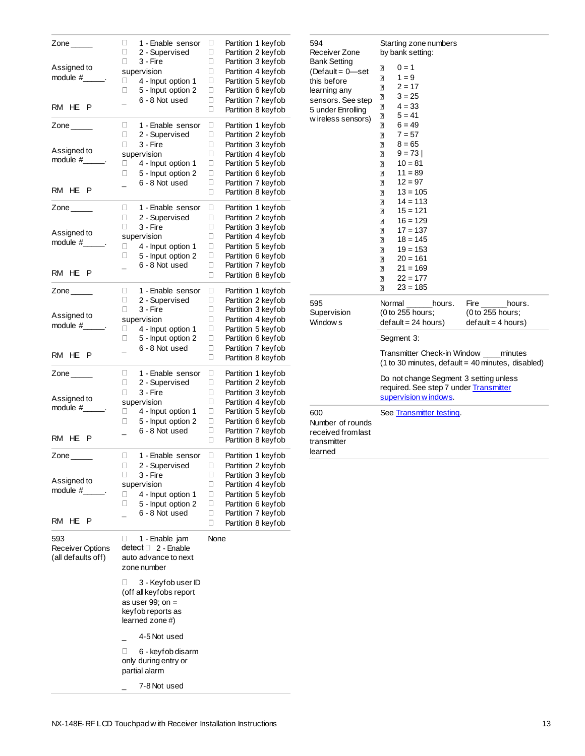| Zone $\_\_\_\_\_\$<br>Assigned to<br>module $#$ $\qquad$ .<br>RM HE<br>P | 1 - Enable sensor<br>0<br>0<br>2 - Supervised<br>0<br>3 - Fire<br>supervision<br>4 - Input option 1<br>$\Box$<br>5 - Input option 2<br>0<br>6 - 8 Not used              | Partition 1 keyfob<br>0<br>0<br>Partition 2 keyfob<br>Ο<br>Partition 3 keyfob<br>Partition 4 keyfob<br>0<br>Partition 5 keyfob<br>Ο<br>Partition 6 keyfob<br>0<br>Partition 7 keyfob<br>0<br>0<br>Partition 8 keyfob |
|--------------------------------------------------------------------------|-------------------------------------------------------------------------------------------------------------------------------------------------------------------------|----------------------------------------------------------------------------------------------------------------------------------------------------------------------------------------------------------------------|
| Zone $\qquad \qquad$<br>Assigned to<br>$module#$ .<br>RM HE P            | 0<br>1 - Enable sensor<br>0<br>2 - Supervised<br>0<br>3 - Fire<br>supervision<br>4 - Input option 1<br>0<br>5 - Input option 2<br>0<br>6 - 8 Not used<br>$\overline{a}$ | Partition 1 keyfob<br>0<br>Partition 2 keyfob<br>0<br>Partition 3 keyfob<br>0<br>Partition 4 keyfob<br>□<br>Partition 5 keyfob<br>□<br>Partition 6 keyfob<br>0<br>Partition 7 keyfob<br>□<br>0<br>Partition 8 keyfob |
| Zone $\_\_$<br>Assigned to<br>module $#$ .<br>RM HE P                    | Ο.<br>1 - Enable sensor<br>0<br>2 - Supervised<br>0<br>3 - Fire<br>supervision<br>0<br>4 - Input option 1<br>5 - Input option 2<br>0<br>6 - 8 Not used                  | о<br>Partition 1 keyfob<br>Ο<br>Partition 2 keyfob<br>Ο<br>Partition 3 keyfob<br>0<br>Partition 4 keyfob<br>Ο<br>Partition 5 keyfob<br>Partition 6 keyfob<br>0<br>0<br>Partition 7 keyfob<br>0<br>Partition 8 keyfob |
| Zone $\_\_$<br>Assigned to<br>module #______.<br>RM HE P                 | 0<br>1 - Enable sensor<br>0<br>2 - Supervised<br>0<br>3 - Fire<br>supervision<br>4 - Input option 1<br>0<br>5 - Input option 2<br>0<br>6 - 8 Not used<br>$\overline{a}$ | 0<br>Partition 1 keyfob<br>Partition 2 keyfob<br>□<br>0<br>Partition 3 keyfob<br>Partition 4 keyfob<br>0<br>Partition 5 keyfob<br>□<br>0<br>Partition 6 keyfob<br>Partition 7 keyfob<br>0<br>Partition 8 keyfob<br>0 |
| Zone $\_\_$<br>Assigned to<br>module #____<br>RM HE P                    | 0<br>1 - Enable sensor<br>0<br>2 - Supervised<br>0<br>3 - Fire<br>supervision<br>4 - Input option 1<br>$\Box$<br>5 - Input option 2<br>0<br>6 - 8 Not used              | о<br>Partition 1 keyfob<br>О<br>Partition 2 keyfob<br>Partition 3 keyfob<br>0<br>Partition 4 keyfob<br>0<br>0<br>Partition 5 keyfob<br>Partition 6 keyfob<br>0<br>Partition 7 keyfob<br>0<br>0<br>Partition 8 keyfob |
| Zone _____<br>Assigned to<br>module #<br>RM HE<br>P                      | 0<br>1 - Enable sensor<br>$\Box$<br>2 - Supervised<br>0<br>3 - Fire<br>supervision<br>4 - Input option 1<br>0<br>5 - Input option 2<br>0<br>6 - 8 Not used              | Partition 1 keyfob<br>0<br>0<br>Partition 2 keyfob<br>0<br>Partition 3 keyfob<br>0<br>Partition 4 keyfob<br>Partition 5 keyfob<br>0<br>Partition 6 keyfob<br>0<br>0<br>Partition 7 keyfob<br>0<br>Partition 8 keyfob |
| 593<br>Receiver Options<br>(all defaults off)                            | 0<br>1 - Enable jam<br>detect □ 2 - Enable<br>auto advance to next<br>zone number                                                                                       | None                                                                                                                                                                                                                 |
|                                                                          | 0<br>3 - Keyfob user ID<br>(off all keyfobs report<br>as user 99; on $=$<br>keyfob reports as<br>learned zone #)                                                        |                                                                                                                                                                                                                      |
|                                                                          | 4-5 Not used<br>U<br>6 - keyfob disarm<br>only during entry or<br>partial alarm<br>7-8 Not used                                                                         |                                                                                                                                                                                                                      |
|                                                                          |                                                                                                                                                                         |                                                                                                                                                                                                                      |

| 594<br>Receiver Zone                                                                                                                   |                                                                                                                                                                          | Starting zone numbers<br>by bank setting:                                                                                                                                                                                                                                                                           |                          |                                                                                               |
|----------------------------------------------------------------------------------------------------------------------------------------|--------------------------------------------------------------------------------------------------------------------------------------------------------------------------|---------------------------------------------------------------------------------------------------------------------------------------------------------------------------------------------------------------------------------------------------------------------------------------------------------------------|--------------------------|-----------------------------------------------------------------------------------------------|
| <b>Bank Setting</b><br>(Default = 0-set<br>this before<br>learning any<br>sensors. See step<br>5 under Enrolling<br>w ireless sensors) | ₽<br>⊡<br>2<br>ً<br>2<br>₽<br>⊡<br>⊡<br>$\overline{2}$<br>⊡<br>2<br>⊡<br>$\overline{2}$<br>2<br>$\overline{2}$<br>₽<br>ً<br>₽<br>ً<br>2<br>ً<br>$\overline{2}$<br>₽<br>2 | $0 = 1$<br>$1 = 9$<br>$2 = 17$<br>$3 = 25$<br>$4 = 33$<br>$5 = 41$<br>$6 = 49$<br>$7 = 57$<br>$8 = 65$<br>$9 = 73$<br>$10 = 81$<br>$11 = 89$<br>$12 = 97$<br>$13 = 105$<br>$14 = 113$<br>$15 = 121$<br>$16 = 129$<br>$17 = 137$<br>$18 = 145$<br>$19 = 153$<br>$20 = 161$<br>$21 = 169$<br>$22 = 177$<br>$23 = 185$ |                          |                                                                                               |
| 595<br>Supervision<br>Window <sub>s</sub>                                                                                              |                                                                                                                                                                          | Normal<br>(0 to 255 hours;<br>$default = 24 hours)$                                                                                                                                                                                                                                                                 | hours.                   | Fire<br>hours.<br>(0 to 255 hours;<br>$default = 4 hours)$                                    |
|                                                                                                                                        |                                                                                                                                                                          | Segment 3:                                                                                                                                                                                                                                                                                                          |                          |                                                                                               |
|                                                                                                                                        |                                                                                                                                                                          |                                                                                                                                                                                                                                                                                                                     |                          | Transmitter Check-in Window ____ minutes<br>(1 to 30 minutes, default = 40 minutes, disabled) |
|                                                                                                                                        |                                                                                                                                                                          | supervision w indows.                                                                                                                                                                                                                                                                                               |                          | Do not change Segment 3 setting unless<br>required. See step 7 under Transmitter              |
| 600<br>Number of rounds<br>received from last<br>transmitter<br>learned                                                                |                                                                                                                                                                          |                                                                                                                                                                                                                                                                                                                     | See Transmitter testing. |                                                                                               |